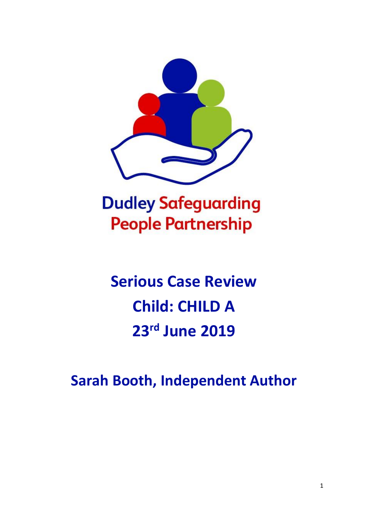

**Dudley Safeguarding People Partnership** 

# **Serious Case Review Child: CHILD A 23 rd June 2019**

**Sarah Booth, Independent Author**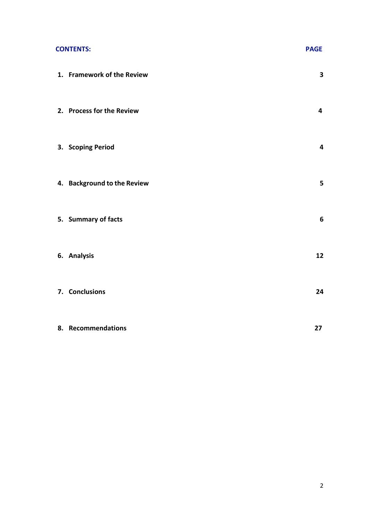#### **CONTENTS:** PAGE

| 1. Framework of the Review  | $\overline{\mathbf{3}}$ |
|-----------------------------|-------------------------|
| 2. Process for the Review   | $\overline{\mathbf{4}}$ |
| 3. Scoping Period           | $\overline{\mathbf{4}}$ |
| 4. Background to the Review | ${\bf 5}$               |
| 5. Summary of facts         | $\boldsymbol{6}$        |
| 6. Analysis                 | 12                      |
| 7. Conclusions              | 24                      |
| 8. Recommendations          | 27                      |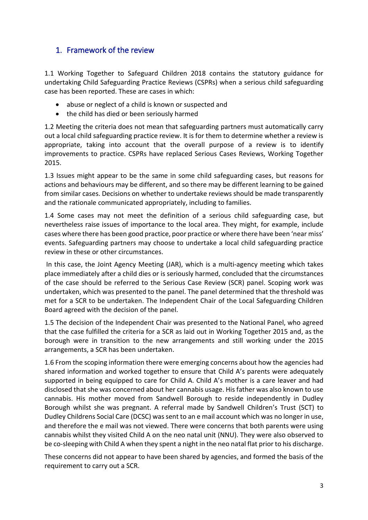# 1. Framework of the review

1.1 Working Together to Safeguard Children 2018 contains the statutory guidance for undertaking Child Safeguarding Practice Reviews (CSPRs) when a serious child safeguarding case has been reported. These are cases in which:

- abuse or neglect of a child is known or suspected and
- the child has died or been seriously harmed

1.2 Meeting the criteria does not mean that safeguarding partners must automatically carry out a local child safeguarding practice review. It is for them to determine whether a review is appropriate, taking into account that the overall purpose of a review is to identify improvements to practice. CSPRs have replaced Serious Cases Reviews, Working Together 2015.

1.3 Issues might appear to be the same in some child safeguarding cases, but reasons for actions and behaviours may be different, and so there may be different learning to be gained from similar cases. Decisions on whether to undertake reviews should be made transparently and the rationale communicated appropriately, including to families.

1.4 Some cases may not meet the definition of a serious child safeguarding case, but nevertheless raise issues of importance to the local area. They might, for example, include cases where there has been good practice, poor practice or where there have been 'near miss' events. Safeguarding partners may choose to undertake a local child safeguarding practice review in these or other circumstances.

In this case, the Joint Agency Meeting (JAR), which is a multi-agency meeting which takes place immediately after a child dies or is seriously harmed, concluded that the circumstances of the case should be referred to the Serious Case Review (SCR) panel. Scoping work was undertaken, which was presented to the panel. The panel determined that the threshold was met for a SCR to be undertaken. The Independent Chair of the Local Safeguarding Children Board agreed with the decision of the panel.

1.5 The decision of the Independent Chair was presented to the National Panel, who agreed that the case fulfilled the criteria for a SCR as laid out in Working Together 2015 and, as the borough were in transition to the new arrangements and still working under the 2015 arrangements, a SCR has been undertaken.

1.6 From the scoping information there were emerging concerns about how the agencies had shared information and worked together to ensure that Child A's parents were adequately supported in being equipped to care for Child A. Child A's mother is a care leaver and had disclosed that she was concerned about her cannabis usage. His father was also known to use cannabis. His mother moved from Sandwell Borough to reside independently in Dudley Borough whilst she was pregnant. A referral made by Sandwell Children's Trust (SCT) to Dudley Childrens Social Care (DCSC) was sent to an e mail account which was no longer in use, and therefore the e mail was not viewed. There were concerns that both parents were using cannabis whilst they visited Child A on the neo natal unit (NNU). They were also observed to be co-sleeping with Child A when they spent a night in the neo natal flat prior to his discharge.

These concerns did not appear to have been shared by agencies, and formed the basis of the requirement to carry out a SCR.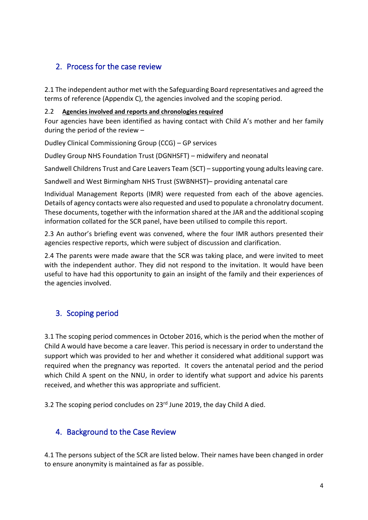# 2. Process for the case review

2.1 The independent author met with the Safeguarding Board representatives and agreed the terms of reference (Appendix C), the agencies involved and the scoping period.

## 2.2 **Agencies involved and reports and chronologies required**

Four agencies have been identified as having contact with Child A's mother and her family during the period of the review –

Dudley Clinical Commissioning Group (CCG) – GP services

Dudley Group NHS Foundation Trust (DGNHSFT) – midwifery and neonatal

Sandwell Childrens Trust and Care Leavers Team (SCT) – supporting young adults leaving care.

Sandwell and West Birmingham NHS Trust (SWBNHST)– providing antenatal care

Individual Management Reports (IMR) were requested from each of the above agencies. Details of agency contacts were also requested and used to populate a chronolatry document. These documents, together with the information shared at the JAR and the additional scoping information collated for the SCR panel, have been utilised to compile this report.

2.3 An author's briefing event was convened, where the four IMR authors presented their agencies respective reports, which were subject of discussion and clarification.

2.4 The parents were made aware that the SCR was taking place, and were invited to meet with the independent author. They did not respond to the invitation. It would have been useful to have had this opportunity to gain an insight of the family and their experiences of the agencies involved.

# 3. Scoping period

3.1 The scoping period commences in October 2016, which is the period when the mother of Child A would have become a care leaver. This period is necessary in order to understand the support which was provided to her and whether it considered what additional support was required when the pregnancy was reported. It covers the antenatal period and the period which Child A spent on the NNU, in order to identify what support and advice his parents received, and whether this was appropriate and sufficient.

3.2 The scoping period concludes on 23rd June 2019, the day Child A died.

# 4. Background to the Case Review

4.1 The persons subject of the SCR are listed below. Their names have been changed in order to ensure anonymity is maintained as far as possible.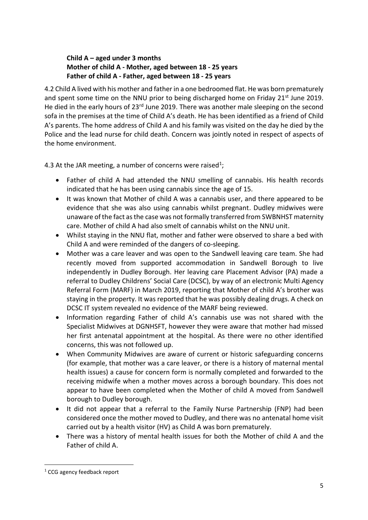## **Child A – aged under 3 months Mother of child A - Mother, aged between 18 - 25 years Father of child A - Father, aged between 18 - 25 years**

4.2 Child A lived with his mother and fatherin a one bedroomed flat. He was born prematurely and spent some time on the NNU prior to being discharged home on Friday 21<sup>st</sup> June 2019. He died in the early hours of 23<sup>rd</sup> June 2019. There was another male sleeping on the second sofa in the premises at the time of Child A's death. He has been identified as a friend of Child A's parents. The home address of Child A and his family was visited on the day he died by the Police and the lead nurse for child death. Concern was jointly noted in respect of aspects of the home environment.

4.3 At the JAR meeting, a number of concerns were raised<sup>1</sup>;

- Father of child A had attended the NNU smelling of cannabis. His health records indicated that he has been using cannabis since the age of 15.
- It was known that Mother of child A was a cannabis user, and there appeared to be evidence that she was also using cannabis whilst pregnant. Dudley midwives were unaware of the fact as the case was not formally transferred from SWBNHST maternity care. Mother of child A had also smelt of cannabis whilst on the NNU unit.
- Whilst staying in the NNU flat, mother and father were observed to share a bed with Child A and were reminded of the dangers of co-sleeping.
- Mother was a care leaver and was open to the Sandwell leaving care team. She had recently moved from supported accommodation in Sandwell Borough to live independently in Dudley Borough. Her leaving care Placement Advisor (PA) made a referral to Dudley Childrens' Social Care (DCSC), by way of an electronic Multi Agency Referral Form (MARF) in March 2019, reporting that Mother of child A's brother was staying in the property. It was reported that he was possibly dealing drugs. A check on DCSC IT system revealed no evidence of the MARF being reviewed.
- Information regarding Father of child A's cannabis use was not shared with the Specialist Midwives at DGNHSFT, however they were aware that mother had missed her first antenatal appointment at the hospital. As there were no other identified concerns, this was not followed up.
- When Community Midwives are aware of current or historic safeguarding concerns (for example, that mother was a care leaver, or there is a history of maternal mental health issues) a cause for concern form is normally completed and forwarded to the receiving midwife when a mother moves across a borough boundary. This does not appear to have been completed when the Mother of child A moved from Sandwell borough to Dudley borough.
- It did not appear that a referral to the Family Nurse Partnership (FNP) had been considered once the mother moved to Dudley, and there was no antenatal home visit carried out by a health visitor (HV) as Child A was born prematurely.
- There was a history of mental health issues for both the Mother of child A and the Father of child A.

<sup>&</sup>lt;sup>1</sup> CCG agency feedback report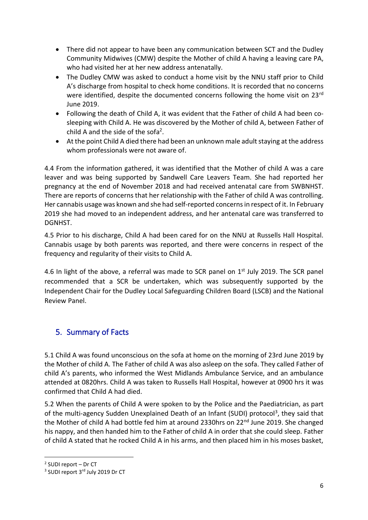- There did not appear to have been any communication between SCT and the Dudley Community Midwives (CMW) despite the Mother of child A having a leaving care PA, who had visited her at her new address antenatally.
- The Dudley CMW was asked to conduct a home visit by the NNU staff prior to Child A's discharge from hospital to check home conditions. It is recorded that no concerns were identified, despite the documented concerns following the home visit on 23<sup>rd</sup> June 2019.
- Following the death of Child A, it was evident that the Father of child A had been cosleeping with Child A. He was discovered by the Mother of child A, between Father of child A and the side of the sofa<sup>2</sup>.
- At the point Child A died there had been an unknown male adult staying at the address whom professionals were not aware of.

4.4 From the information gathered, it was identified that the Mother of child A was a care leaver and was being supported by Sandwell Care Leavers Team. She had reported her pregnancy at the end of November 2018 and had received antenatal care from SWBNHST. There are reports of concerns that her relationship with the Father of child A was controlling. Her cannabis usage was known and she had self-reported concerns in respect of it. In February 2019 she had moved to an independent address, and her antenatal care was transferred to DGNHST.

4.5 Prior to his discharge, Child A had been cared for on the NNU at Russells Hall Hospital. Cannabis usage by both parents was reported, and there were concerns in respect of the frequency and regularity of their visits to Child A.

4.6 In light of the above, a referral was made to SCR panel on 1<sup>st</sup> July 2019. The SCR panel recommended that a SCR be undertaken, which was subsequently supported by the Independent Chair for the Dudley Local Safeguarding Children Board (LSCB) and the National Review Panel.

# 5. Summary of Facts

5.1 Child A was found unconscious on the sofa at home on the morning of 23rd June 2019 by the Mother of child A. The Father of child A was also asleep on the sofa. They called Father of child A's parents, who informed the West Midlands Ambulance Service, and an ambulance attended at 0820hrs. Child A was taken to Russells Hall Hospital, however at 0900 hrs it was confirmed that Child A had died.

5.2 When the parents of Child A were spoken to by the Police and the Paediatrician, as part of the multi-agency Sudden Unexplained Death of an Infant (SUDI) protocol<sup>3</sup>, they said that the Mother of child A had bottle fed him at around 2330hrs on 22<sup>nd</sup> June 2019. She changed his nappy, and then handed him to the Father of child A in order that she could sleep. Father of child A stated that he rocked Child A in his arms, and then placed him in his moses basket,

<sup>2</sup> SUDI report – Dr CT

<sup>&</sup>lt;sup>3</sup> SUDI report 3<sup>rd</sup> July 2019 Dr CT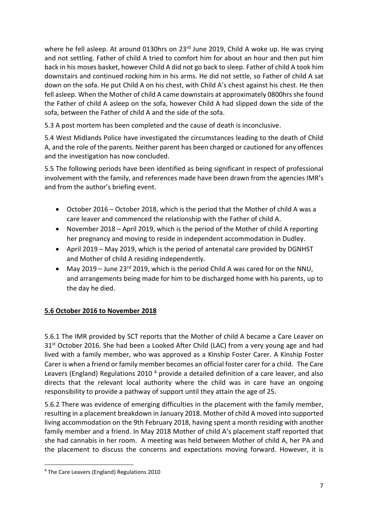where he fell asleep. At around 0130hrs on 23<sup>rd</sup> June 2019, Child A woke up. He was crying and not settling. Father of child A tried to comfort him for about an hour and then put him back in his moses basket, however Child A did not go back to sleep. Father of child A took him downstairs and continued rocking him in his arms. He did not settle, so Father of child A sat down on the sofa. He put Child A on his chest, with Child A's chest against his chest. He then fell asleep. When the Mother of child A came downstairs at approximately 0800hrs she found the Father of child A asleep on the sofa, however Child A had slipped down the side of the sofa, between the Father of child A and the side of the sofa.

5.3 A post mortem has been completed and the cause of death is inconclusive.

5.4 West Midlands Police have investigated the circumstances leading to the death of Child A, and the role of the parents. Neither parent has been charged or cautioned for any offences and the investigation has now concluded.

5.5 The following periods have been identified as being significant in respect of professional involvement with the family, and references made have been drawn from the agencies IMR's and from the author's briefing event.

- October 2016 October 2018, which is the period that the Mother of child A was a care leaver and commenced the relationship with the Father of child A.
- November 2018 April 2019, which is the period of the Mother of child A reporting her pregnancy and moving to reside in independent accommodation in Dudley.
- April 2019 May 2019, which is the period of antenatal care provided by DGNHST and Mother of child A residing independently.
- May 2019 June 23<sup>rd</sup> 2019, which is the period Child A was cared for on the NNU, and arrangements being made for him to be discharged home with his parents, up to the day he died.

# **5.6 October 2016 to November 2018**

5.6.1 The IMR provided by SCT reports that the Mother of child A became a Care Leaver on  $31<sup>st</sup>$  October 2016. She had been a Looked After Child (LAC) from a very young age and had lived with a family member, who was approved as a Kinship Foster Carer. A Kinship Foster Carer is when a friend or family member becomes an official foster carer for a child. The Care Leavers (England) Regulations 2010<sup>4</sup> provide a detailed definition of a care leaver, and also directs that the relevant local authority where the child was in care have an ongoing responsibility to provide a pathway of support until they attain the age of 25.

5.6.2 There was evidence of emerging difficulties in the placement with the family member, resulting in a placement breakdown in January 2018. Mother of child A moved into supported living accommodation on the 9th February 2018, having spent a month residing with another family member and a friend. In May 2018 Mother of child A's placement staff reported that she had cannabis in her room. A meeting was held between Mother of child A, her PA and the placement to discuss the concerns and expectations moving forward. However, it is

<sup>4</sup> The Care Leavers (England) Regulations 2010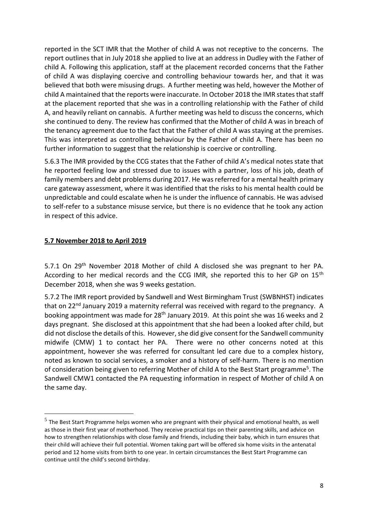reported in the SCT IMR that the Mother of child A was not receptive to the concerns. The report outlines that in July 2018 she applied to live at an address in Dudley with the Father of child A. Following this application, staff at the placement recorded concerns that the Father of child A was displaying coercive and controlling behaviour towards her, and that it was believed that both were misusing drugs. A further meeting was held, however the Mother of child A maintained that the reports were inaccurate. In October 2018 the IMR states that staff at the placement reported that she was in a controlling relationship with the Father of child A, and heavily reliant on cannabis. A further meeting was held to discuss the concerns, which she continued to deny. The review has confirmed that the Mother of child A was in breach of the tenancy agreement due to the fact that the Father of child A was staying at the premises. This was interpreted as controlling behaviour by the Father of child A. There has been no further information to suggest that the relationship is coercive or controlling.

5.6.3 The IMR provided by the CCG states that the Father of child A's medical notes state that he reported feeling low and stressed due to issues with a partner, loss of his job, death of family members and debt problems during 2017. He was referred for a mental health primary care gateway assessment, where it was identified that the risks to his mental health could be unpredictable and could escalate when he is under the influence of cannabis. He was advised to self-refer to a substance misuse service, but there is no evidence that he took any action in respect of this advice.

## **5.7 November 2018 to April 2019**

5.7.1 On 29th November 2018 Mother of child A disclosed she was pregnant to her PA. According to her medical records and the CCG IMR, she reported this to her GP on 15<sup>th</sup> December 2018, when she was 9 weeks gestation.

5.7.2 The IMR report provided by Sandwell and West Birmingham Trust (SWBNHST) indicates that on 22<sup>nd</sup> January 2019 a maternity referral was received with regard to the pregnancy. A booking appointment was made for 28th January 2019. At this point she was 16 weeks and 2 days pregnant. She disclosed at this appointment that she had been a looked after child, but did not disclose the details of this. However, she did give consent for the Sandwell community midwife (CMW) 1 to contact her PA. There were no other concerns noted at this appointment, however she was referred for consultant led care due to a complex history, noted as known to social services, a smoker and a history of self-harm. There is no mention of consideration being given to referring Mother of child A to the Best Start programme<sup>5</sup>. The Sandwell CMW1 contacted the PA requesting information in respect of Mother of child A on the same day.

 $<sup>5</sup>$  The Best Start Programme helps women who are pregnant with their physical and emotional health, as well</sup> as those in their first year of motherhood. They receive practical tips on their parenting skills, and advice on how to strengthen relationships with close family and friends, including their baby, which in turn ensures that their child will achieve their full potential. Women taking part will be offered six home visits in the antenatal period and 12 home visits from birth to one year. In certain circumstances the Best Start Programme can continue until the child's second birthday.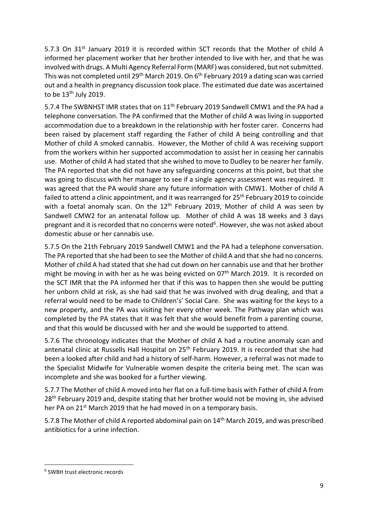5.7.3 On 31<sup>st</sup> January 2019 it is recorded within SCT records that the Mother of child A informed her placement worker that her brother intended to live with her, and that he was involved with drugs. A Multi Agency Referral Form (MARF) was considered, but not submitted. This was not completed until 29<sup>th</sup> March 2019. On 6<sup>th</sup> February 2019 a dating scan was carried out and a health in pregnancy discussion took place. The estimated due date was ascertained to be  $13<sup>th</sup>$  July 2019.

5.7.4 The SWBNHST IMR states that on 11<sup>th</sup> February 2019 Sandwell CMW1 and the PA had a telephone conversation. The PA confirmed that the Mother of child A was living in supported accommodation due to a breakdown in the relationship with her foster carer. Concerns had been raised by placement staff regarding the Father of child A being controlling and that Mother of child A smoked cannabis. However, the Mother of child A was receiving support from the workers within her supported accommodation to assist her in ceasing her cannabis use. Mother of child A had stated that she wished to move to Dudley to be nearer her family. The PA reported that she did not have any safeguarding concerns at this point, but that she was going to discuss with her manager to see if a single agency assessment was required. It was agreed that the PA would share any future information with CMW1. Mother of child A failed to attend a clinic appointment, and it was rearranged for 25<sup>th</sup> February 2019 to coincide with a foetal anomaly scan. On the  $12<sup>th</sup>$  February 2019, Mother of child A was seen by Sandwell CMW2 for an antenatal follow up. Mother of child A was 18 weeks and 3 days pregnant and it is recorded that no concerns were noted<sup>6</sup>. However, she was not asked about domestic abuse or her cannabis use.

5.7.5 On the 21th February 2019 Sandwell CMW1 and the PA had a telephone conversation. The PA reported that she had been to see the Mother of child A and that she had no concerns. Mother of child A had stated that she had cut down on her cannabis use and that her brother might be moving in with her as he was being evicted on  $07<sup>th</sup>$  March 2019. It is recorded on the SCT IMR that the PA informed her that if this was to happen then she would be putting her unborn child at risk, as she had said that he was involved with drug dealing, and that a referral would need to be made to Children's' Social Care. She was waiting for the keys to a new property, and the PA was visiting her every other week. The Pathway plan which was completed by the PA states that it was felt that she would benefit from a parenting course, and that this would be discussed with her and she would be supported to attend.

5.7.6 The chronology indicates that the Mother of child A had a routine anomaly scan and antenatal clinic at Russells Hall Hospital on 25<sup>th</sup> February 2019. It is recorded that she had been a looked after child and had a history of self-harm. However, a referral was not made to the Specialist Midwife for Vulnerable women despite the criteria being met. The scan was incomplete and she was booked for a further viewing.

5.7.7 The Mother of child A moved into her flat on a full-time basis with Father of child A from  $28<sup>th</sup>$  February 2019 and, despite stating that her brother would not be moving in, she advised her PA on 21<sup>st</sup> March 2019 that he had moved in on a temporary basis.

5.7.8 The Mother of child A reported abdominal pain on 14<sup>th</sup> March 2019, and was prescribed antibiotics for a urine infection.

<sup>6</sup> SWBH trust electronic records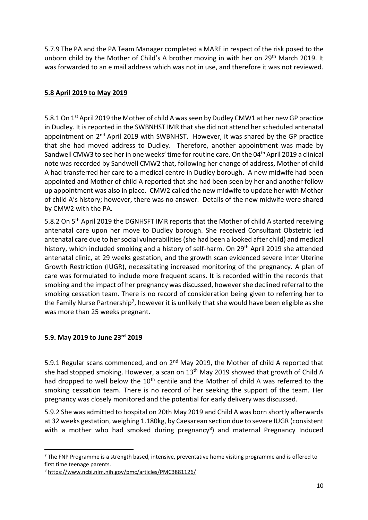5.7.9 The PA and the PA Team Manager completed a MARF in respect of the risk posed to the unborn child by the Mother of Child's A brother moving in with her on 29<sup>th</sup> March 2019. It was forwarded to an e mail address which was not in use, and therefore it was not reviewed.

## **5.8 April 2019 to May 2019**

5.8.1 On 1<sup>st</sup> April 2019 the Mother of child A was seen by Dudley CMW1 at her new GP practice in Dudley. It is reported in the SWBNHST IMR that she did not attend her scheduled antenatal appointment on 2nd April 2019 with SWBNHST. However, it was shared by the GP practice that she had moved address to Dudley. Therefore, another appointment was made by Sandwell CMW3 to see her in one weeks' time for routine care. On the 04<sup>th</sup> April 2019 a clinical note was recorded by Sandwell CMW2 that, following her change of address, Mother of child A had transferred her care to a medical centre in Dudley borough. A new midwife had been appointed and Mother of child A reported that she had been seen by her and another follow up appointment was also in place. CMW2 called the new midwife to update her with Mother of child A's history; however, there was no answer. Details of the new midwife were shared by CMW2 with the PA.

5.8.2 On 5<sup>th</sup> April 2019 the DGNHSFT IMR reports that the Mother of child A started receiving antenatal care upon her move to Dudley borough. She received Consultant Obstetric led antenatal care due to her social vulnerabilities (she had been a looked after child) and medical history, which included smoking and a history of self-harm. On 29<sup>th</sup> April 2019 she attended antenatal clinic, at 29 weeks gestation, and the growth scan evidenced severe Inter Uterine Growth Restriction (IUGR), necessitating increased monitoring of the pregnancy. A plan of care was formulated to include more frequent scans. It is recorded within the records that smoking and the impact of her pregnancy was discussed, however she declined referral to the smoking cessation team. There is no record of consideration being given to referring her to the Family Nurse Partnership<sup>7</sup>, however it is unlikely that she would have been eligible as she was more than 25 weeks pregnant.

## **5.9. May 2019 to June 23rd 2019**

5.9.1 Regular scans commenced, and on  $2<sup>nd</sup>$  May 2019, the Mother of child A reported that she had stopped smoking. However, a scan on 13<sup>th</sup> May 2019 showed that growth of Child A had dropped to well below the 10<sup>th</sup> centile and the Mother of child A was referred to the smoking cessation team. There is no record of her seeking the support of the team. Her pregnancy was closely monitored and the potential for early delivery was discussed.

5.9.2 She was admitted to hospital on 20th May 2019 and Child A was born shortly afterwards at 32 weeks gestation, weighing 1.180kg, by Caesarean section due to severe IUGR (consistent with a mother who had smoked during pregnancy<sup>8</sup>) and maternal Pregnancy Induced

<sup>&</sup>lt;sup>7</sup> The FNP Programme is a strength based, intensive, preventative home visiting programme and is offered to first time teenage parents.

<sup>8</sup> <https://www.ncbi.nlm.nih.gov/pmc/articles/PMC3881126/>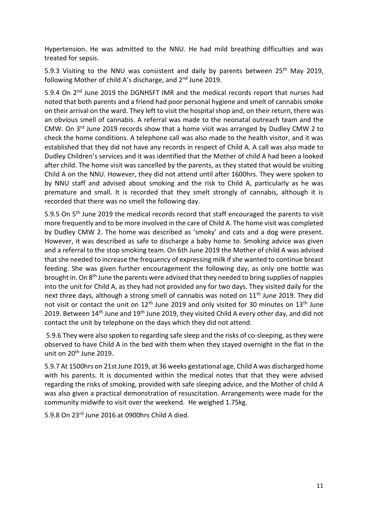Hypertension. He was admitted to the NNU. He had mild breathing difficulties and was treated for sepsis.

5.9.3 Visiting to the NNU was consistent and daily by parents between  $25<sup>th</sup>$  May 2019, following Mother of child A's discharge, and 2<sup>nd</sup> June 2019.

5.9.4 On 2<sup>nd</sup> June 2019 the DGNHSFT IMR and the medical records report that nurses had noted that both parents and a friend had poor personal hygiene and smelt of cannabis smoke on their arrival on the ward. They left to visit the hospital shop and, on their return, there was an obvious smell of cannabis. A referral was made to the neonatal outreach team and the CMW. On 3rd June 2019 records show that a home visit was arranged by Dudley CMW 2 to check the home conditions. A telephone call was also made to the health visitor, and it was established that they did not have any records in respect of Child A. A call was also made to Dudley Children's services and it was identified that the Mother of child A had been a looked after child. The home visit was cancelled by the parents, as they stated that would be visiting Child A on the NNU. However, they did not attend until after 1600hrs. They were spoken to by NNU staff and advised about smoking and the risk to Child A, particularly as he was premature and small. It is recorded that they smelt strongly of cannabis, although it is recorded that there was no smell the following day.

5.9.5 On 5<sup>th</sup> June 2019 the medical records record that staff encouraged the parents to visit more frequently and to be more involved in the care of Child A. The home visit was completed by Dudley CMW 2. The home was described as 'smoky' and cats and a dog were present. However, it was described as safe to discharge a baby home to. Smoking advice was given and a referral to the stop smoking team. On 6th June 2019 the Mother of child A was advised that she needed to increase the frequency of expressing milk if she wanted to continue breast feeding. She was given further encouragement the following day, as only one bottle was brought in. On  $8<sup>th</sup>$  June the parents were advised that they needed to bring supplies of nappies into the unit for Child A, as they had not provided any for two days. They visited daily for the next three days, although a strong smell of cannabis was noted on 11<sup>th</sup> June 2019. They did not visit or contact the unit on  $12<sup>th</sup>$  June 2019 and only visited for 30 minutes on  $13<sup>th</sup>$  June 2019. Between  $14<sup>th</sup>$  June and  $19<sup>th</sup>$  June 2019, they visited Child A every other day, and did not contact the unit by telephone on the days which they did not attend.

5.9.6 They were also spoken to regarding safe sleep and the risks of co-sleeping, as they were observed to have Child A in the bed with them when they stayed overnight in the flat in the unit on 20th June 2019.

5.9.7 At 1500hrs on 21st June 2019, at 36 weeks gestational age, Child A was discharged home with his parents. It is documented within the medical notes that that they were advised regarding the risks of smoking, provided with safe sleeping advice, and the Mother of child A was also given a practical demonstration of resuscitation. Arrangements were made for the community midwife to visit over the weekend. He weighed 1.75kg.

5.9.8 On 23rd June 2016 at 0900hrs Child A died.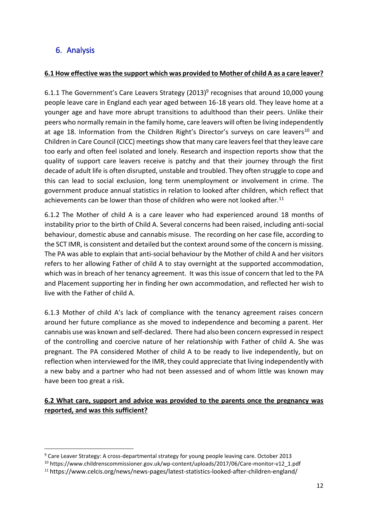# 6. Analysis

## **6.1 How effective was the support which was provided to Mother of child A as a care leaver?**

6.1.1 The Government's Care Leavers Strategy (2013)<sup>9</sup> recognises that around 10,000 young people leave care in England each year aged between 16-18 years old. They leave home at a younger age and have more abrupt transitions to adulthood than their peers. Unlike their peers who normally remain in the family home, care leavers will often be living independently at age 18. Information from the Children Right's Director's surveys on care leavers<sup>10</sup> and Children in Care Council (CICC) meetings show that many care leavers feel that they leave care too early and often feel isolated and lonely. Research and inspection reports show that the quality of support care leavers receive is patchy and that their journey through the first decade of adult life is often disrupted, unstable and troubled. They often struggle to cope and this can lead to social exclusion, long term unemployment or involvement in crime. The government produce annual statistics in relation to looked after children, which reflect that achievements can be lower than those of children who were not looked after.<sup>11</sup>

6.1.2 The Mother of child A is a care leaver who had experienced around 18 months of instability prior to the birth of Child A. Several concerns had been raised, including anti-social behaviour, domestic abuse and cannabis misuse. The recording on her case file, according to the SCT IMR, is consistent and detailed but the context around some of the concern is missing. The PA was able to explain that anti-social behaviour by the Mother of child A and her visitors refers to her allowing Father of child A to stay overnight at the supported accommodation, which was in breach of her tenancy agreement. It was this issue of concern that led to the PA and Placement supporting her in finding her own accommodation, and reflected her wish to live with the Father of child A.

6.1.3 Mother of child A's lack of compliance with the tenancy agreement raises concern around her future compliance as she moved to independence and becoming a parent. Her cannabis use was known and self-declared. There had also been concern expressed in respect of the controlling and coercive nature of her relationship with Father of child A. She was pregnant. The PA considered Mother of child A to be ready to live independently, but on reflection when interviewed for the IMR, they could appreciate that living independently with a new baby and a partner who had not been assessed and of whom little was known may have been too great a risk.

**6.2 What care, support and advice was provided to the parents once the pregnancy was reported, and was this sufficient?**

<sup>9</sup> Care Leaver Strategy: A cross-departmental strategy for young people leaving care. October 2013

<sup>10</sup> https://www.childrenscommissioner.gov.uk/wp-content/uploads/2017/06/Care-monitor-v12\_1.pdf

<sup>11</sup> https://www.celcis.org/news/news-pages/latest-statistics-looked-after-children-england/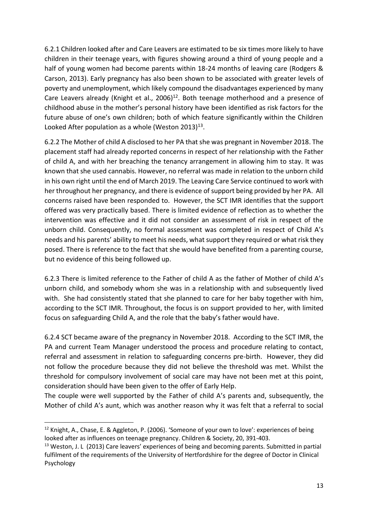6.2.1 Children looked after and Care Leavers are estimated to be six times more likely to have children in their teenage years, with figures showing around a third of young people and a half of young women had become parents within 18-24 months of leaving care (Rodgers & Carson, 2013). Early pregnancy has also been shown to be associated with greater levels of poverty and unemployment, which likely compound the disadvantages experienced by many Care Leavers already (Knight et al., 2006) $^{12}$ . Both teenage motherhood and a presence of childhood abuse in the mother's personal history have been identified as risk factors for the future abuse of one's own children; both of which feature significantly within the Children Looked After population as a whole (Weston 2013) $^{13}$ .

6.2.2 The Mother of child A disclosed to her PA that she was pregnant in November 2018. The placement staff had already reported concerns in respect of her relationship with the Father of child A, and with her breaching the tenancy arrangement in allowing him to stay. It was known that she used cannabis. However, no referral was made in relation to the unborn child in his own right until the end of March 2019. The Leaving Care Service continued to work with her throughout her pregnancy, and there is evidence of support being provided by her PA. All concerns raised have been responded to. However, the SCT IMR identifies that the support offered was very practically based. There is limited evidence of reflection as to whether the intervention was effective and it did not consider an assessment of risk in respect of the unborn child. Consequently, no formal assessment was completed in respect of Child A's needs and his parents' ability to meet his needs, what support they required or what risk they posed. There is reference to the fact that she would have benefited from a parenting course, but no evidence of this being followed up.

6.2.3 There is limited reference to the Father of child A as the father of Mother of child A's unborn child, and somebody whom she was in a relationship with and subsequently lived with. She had consistently stated that she planned to care for her baby together with him, according to the SCT IMR. Throughout, the focus is on support provided to her, with limited focus on safeguarding Child A, and the role that the baby's father would have.

6.2.4 SCT became aware of the pregnancy in November 2018. According to the SCT IMR, the PA and current Team Manager understood the process and procedure relating to contact, referral and assessment in relation to safeguarding concerns pre-birth. However, they did not follow the procedure because they did not believe the threshold was met. Whilst the threshold for compulsory involvement of social care may have not been met at this point, consideration should have been given to the offer of Early Help.

The couple were well supported by the Father of child A's parents and, subsequently, the Mother of child A's aunt, which was another reason why it was felt that a referral to social

 $12$  Knight, A., Chase, E. & Aggleton, P. (2006). 'Someone of your own to love': experiences of being looked after as influences on teenage pregnancy. Children & Society, 20, 391-403.

<sup>&</sup>lt;sup>13</sup> Weston, J. L (2013) Care leavers' experiences of being and becoming parents. Submitted in partial fulfilment of the requirements of the University of Hertfordshire for the degree of Doctor in Clinical Psychology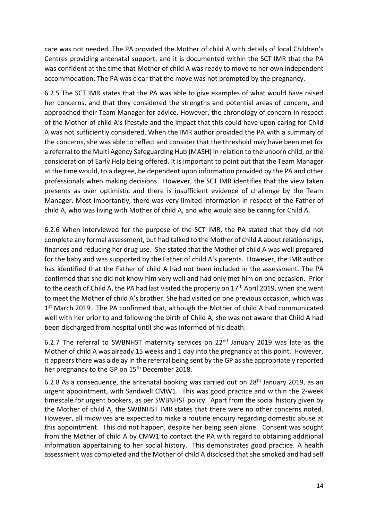care was not needed. The PA provided the Mother of child A with details of local Children's Centres providing antenatal support, and it is documented within the SCT IMR that the PA was confident at the time that Mother of child A was ready to move to her own independent accommodation. The PA was clear that the move was not prompted by the pregnancy.

6.2.5 The SCT IMR states that the PA was able to give examples of what would have raised her concerns, and that they considered the strengths and potential areas of concern, and approached their Team Manager for advice. However, the chronology of concern in respect of the Mother of child A's lifestyle and the impact that this could have upon caring for Child A was not sufficiently considered. When the IMR author provided the PA with a summary of the concerns, she was able to reflect and consider that the threshold may have been met for a referral to the Multi Agency Safeguarding Hub (MASH) in relation to the unborn child, or the consideration of Early Help being offered. It is important to point out that the Team Manager at the time would, to a degree, be dependent upon information provided by the PA and other professionals when making decisions. However, the SCT IMR identifies that the view taken presents as over optimistic and there is insufficient evidence of challenge by the Team Manager. Most importantly, there was very limited information in respect of the Father of child A, who was living with Mother of child A, and who would also be caring for Child A.

6.2.6 When interviewed for the purpose of the SCT IMR, the PA stated that they did not complete any formal assessment, but had talked to the Mother of child A about relationships, finances and reducing her drug use. She stated that the Mother of child A was well prepared for the baby and was supported by the Father of child A's parents. However, the IMR author has identified that the Father of child A had not been included in the assessment. The PA confirmed that she did not know him very well and had only met him on one occasion. Prior to the death of Child A, the PA had last visited the property on  $17<sup>th</sup>$  April 2019, when she went to meet the Mother of child A's brother. She had visited on one previous occasion, which was 1<sup>st</sup> March 2019. The PA confirmed that, although the Mother of child A had communicated well with her prior to and following the birth of Child A, she was not aware that Child A had been discharged from hospital until she was informed of his death.

6.2.7 The referral to SWBNHST maternity services on 22nd January 2019 was late as the Mother of child A was already 15 weeks and 1 day into the pregnancy at this point. However, it appears there was a delay in the referral being sent by the GP as she appropriately reported her pregnancy to the GP on 15<sup>th</sup> December 2018.

6.2.8 As a consequence, the antenatal booking was carried out on  $28<sup>th</sup>$  January 2019, as an urgent appointment, with Sandwell CMW1. This was good practice and within the 2-week timescale for urgent bookers, as per SWBNHST policy. Apart from the social history given by the Mother of child A, the SWBNHST IMR states that there were no other concerns noted. However, all midwives are expected to make a routine enquiry regarding domestic abuse at this appointment. This did not happen, despite her being seen alone. Consent was sought from the Mother of child A by CMW1 to contact the PA with regard to obtaining additional information appertaining to her social history. This demonstrates good practice. A health assessment was completed and the Mother of child A disclosed that she smoked and had self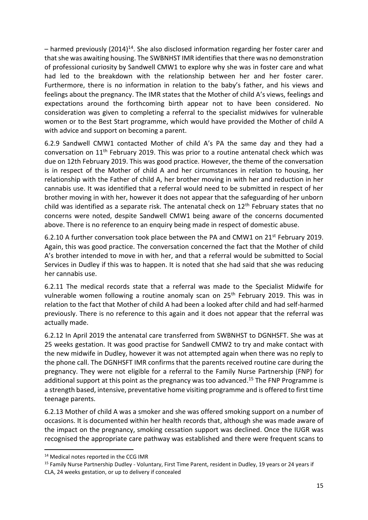$-$  harmed previously (2014)<sup>14</sup>. She also disclosed information regarding her foster carer and that she was awaiting housing. The SWBNHST IMR identifies that there was no demonstration of professional curiosity by Sandwell CMW1 to explore why she was in foster care and what had led to the breakdown with the relationship between her and her foster carer. Furthermore, there is no information in relation to the baby's father, and his views and feelings about the pregnancy. The IMR states that the Mother of child A's views, feelings and expectations around the forthcoming birth appear not to have been considered. No consideration was given to completing a referral to the specialist midwives for vulnerable women or to the Best Start programme, which would have provided the Mother of child A with advice and support on becoming a parent.

6.2.9 Sandwell CMW1 contacted Mother of child A's PA the same day and they had a conversation on 11th February 2019. This was prior to a routine antenatal check which was due on 12th February 2019. This was good practice. However, the theme of the conversation is in respect of the Mother of child A and her circumstances in relation to housing, her relationship with the Father of child A, her brother moving in with her and reduction in her cannabis use. It was identified that a referral would need to be submitted in respect of her brother moving in with her, however it does not appear that the safeguarding of her unborn child was identified as a separate risk. The antenatal check on  $12<sup>th</sup>$  February states that no concerns were noted, despite Sandwell CMW1 being aware of the concerns documented above. There is no reference to an enquiry being made in respect of domestic abuse.

6.2.10 A further conversation took place between the PA and CMW1 on  $21^{st}$  February 2019. Again, this was good practice. The conversation concerned the fact that the Mother of child A's brother intended to move in with her, and that a referral would be submitted to Social Services in Dudley if this was to happen. It is noted that she had said that she was reducing her cannabis use.

6.2.11 The medical records state that a referral was made to the Specialist Midwife for vulnerable women following a routine anomaly scan on 25<sup>th</sup> February 2019. This was in relation to the fact that Mother of child A had been a looked after child and had self-harmed previously. There is no reference to this again and it does not appear that the referral was actually made.

6.2.12 In April 2019 the antenatal care transferred from SWBNHST to DGNHSFT. She was at 25 weeks gestation. It was good practise for Sandwell CMW2 to try and make contact with the new midwife in Dudley, however it was not attempted again when there was no reply to the phone call. The DGNHSFT IMR confirms that the parents received routine care during the pregnancy. They were not eligible for a referral to the Family Nurse Partnership (FNP) for additional support at this point as the pregnancy was too advanced.<sup>15</sup> The FNP Programme is a strength based, intensive, preventative home visiting programme and is offered to first time teenage parents.

6.2.13 Mother of child A was a smoker and she was offered smoking support on a number of occasions. It is documented within her health records that, although she was made aware of the impact on the pregnancy, smoking cessation support was declined. Once the IUGR was recognised the appropriate care pathway was established and there were frequent scans to

<sup>&</sup>lt;sup>14</sup> Medical notes reported in the CCG IMR

<sup>15</sup> Family Nurse Partnership Dudley - Voluntary, First Time Parent, resident in Dudley, 19 years or 24 years if CLA, 24 weeks gestation, or up to delivery if concealed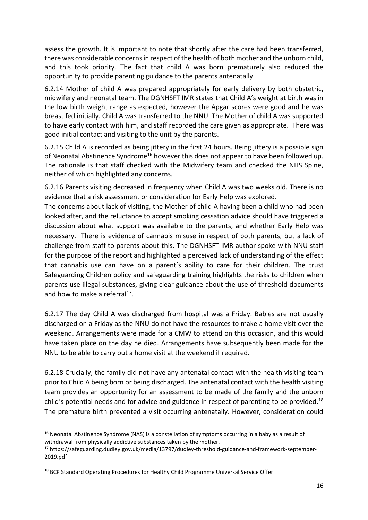assess the growth. It is important to note that shortly after the care had been transferred, there was considerable concerns in respect of the health of both mother and the unborn child, and this took priority. The fact that child A was born prematurely also reduced the opportunity to provide parenting guidance to the parents antenatally.

6.2.14 Mother of child A was prepared appropriately for early delivery by both obstetric, midwifery and neonatal team. The DGNHSFT IMR states that Child A's weight at birth was in the low birth weight range as expected, however the Apgar scores were good and he was breast fed initially. Child A was transferred to the NNU. The Mother of child A was supported to have early contact with him, and staff recorded the care given as appropriate. There was good initial contact and visiting to the unit by the parents.

6.2.15 Child A is recorded as being jittery in the first 24 hours. Being jittery is a possible sign of Neonatal Abstinence Syndrome<sup>16</sup> however this does not appear to have been followed up. The rationale is that staff checked with the Midwifery team and checked the NHS Spine, neither of which highlighted any concerns.

6.2.16 Parents visiting decreased in frequency when Child A was two weeks old. There is no evidence that a risk assessment or consideration for Early Help was explored.

The concerns about lack of visiting, the Mother of child A having been a child who had been looked after, and the reluctance to accept smoking cessation advice should have triggered a discussion about what support was available to the parents, and whether Early Help was necessary. There is evidence of cannabis misuse in respect of both parents, but a lack of challenge from staff to parents about this. The DGNHSFT IMR author spoke with NNU staff for the purpose of the report and highlighted a perceived lack of understanding of the effect that cannabis use can have on a parent's ability to care for their children. The trust Safeguarding Children policy and safeguarding training highlights the risks to children when parents use illegal substances, giving clear guidance about the use of threshold documents and how to make a referral<sup>17</sup>.

6.2.17 The day Child A was discharged from hospital was a Friday. Babies are not usually discharged on a Friday as the NNU do not have the resources to make a home visit over the weekend. Arrangements were made for a CMW to attend on this occasion, and this would have taken place on the day he died. Arrangements have subsequently been made for the NNU to be able to carry out a home visit at the weekend if required.

6.2.18 Crucially, the family did not have any antenatal contact with the health visiting team prior to Child A being born or being discharged. The antenatal contact with the health visiting team provides an opportunity for an assessment to be made of the family and the unborn child's potential needs and for advice and guidance in respect of parenting to be provided.<sup>18</sup> The premature birth prevented a visit occurring antenatally. However, consideration could

<sup>&</sup>lt;sup>16</sup> Neonatal Abstinence Syndrome (NAS) is a constellation of symptoms occurring in a baby as a result of withdrawal from physically addictive substances taken by the mother.

<sup>&</sup>lt;sup>17</sup> https://safeguarding.dudley.gov.uk/media/13797/dudley-threshold-guidance-and-framework-september-2019.pdf

<sup>&</sup>lt;sup>18</sup> BCP Standard Operating Procedures for Healthy Child Programme Universal Service Offer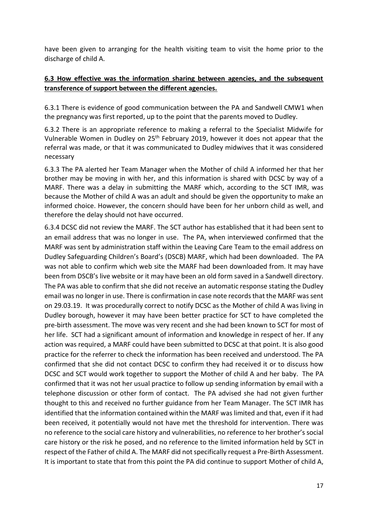have been given to arranging for the health visiting team to visit the home prior to the discharge of child A.

## **6.3 How effective was the information sharing between agencies, and the subsequent transference of support between the different agencies.**

6.3.1 There is evidence of good communication between the PA and Sandwell CMW1 when the pregnancy was first reported, up to the point that the parents moved to Dudley.

6.3.2 There is an appropriate reference to making a referral to the Specialist Midwife for Vulnerable Women in Dudley on 25<sup>th</sup> February 2019, however it does not appear that the referral was made, or that it was communicated to Dudley midwives that it was considered necessary

6.3.3 The PA alerted her Team Manager when the Mother of child A informed her that her brother may be moving in with her, and this information is shared with DCSC by way of a MARF. There was a delay in submitting the MARF which, according to the SCT IMR, was because the Mother of child A was an adult and should be given the opportunity to make an informed choice. However, the concern should have been for her unborn child as well, and therefore the delay should not have occurred.

6.3.4 DCSC did not review the MARF. The SCT author has established that it had been sent to an email address that was no longer in use. The PA, when interviewed confirmed that the MARF was sent by administration staff within the Leaving Care Team to the email address on Dudley Safeguarding Children's Board's (DSCB) MARF, which had been downloaded. The PA was not able to confirm which web site the MARF had been downloaded from. It may have been from DSCB's live website or it may have been an old form saved in a Sandwell directory. The PA was able to confirm that she did not receive an automatic response stating the Dudley email was no longer in use. There is confirmation in case note records that the MARF was sent on 29.03.19. It was procedurally correct to notify DCSC as the Mother of child A was living in Dudley borough, however it may have been better practice for SCT to have completed the pre-birth assessment. The move was very recent and she had been known to SCT for most of her life. SCT had a significant amount of information and knowledge in respect of her. If any action was required, a MARF could have been submitted to DCSC at that point. It is also good practice for the referrer to check the information has been received and understood. The PA confirmed that she did not contact DCSC to confirm they had received it or to discuss how DCSC and SCT would work together to support the Mother of child A and her baby. The PA confirmed that it was not her usual practice to follow up sending information by email with a telephone discussion or other form of contact. The PA advised she had not given further thought to this and received no further guidance from her Team Manager. The SCT IMR has identified that the information contained within the MARF was limited and that, even if it had been received, it potentially would not have met the threshold for intervention. There was no reference to the social care history and vulnerabilities, no reference to her brother's social care history or the risk he posed, and no reference to the limited information held by SCT in respect of the Father of child A. The MARF did not specifically request a Pre-Birth Assessment. It is important to state that from this point the PA did continue to support Mother of child A,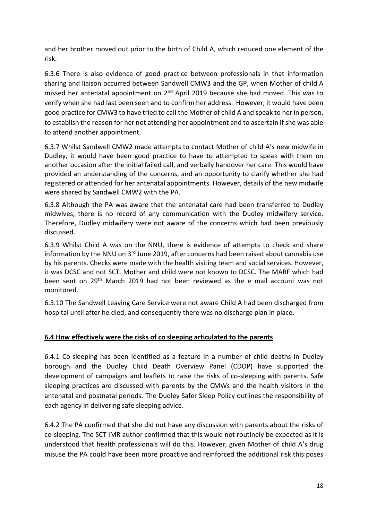and her brother moved out prior to the birth of Child A, which reduced one element of the risk.

6.3.6 There is also evidence of good practice between professionals in that information sharing and liaison occurred between Sandwell CMW3 and the GP, when Mother of child A missed her antenatal appointment on 2<sup>nd</sup> April 2019 because she had moved. This was to verify when she had last been seen and to confirm her address. However, it would have been good practice for CMW3 to have tried to call the Mother of child A and speak to her in person, to establish the reason for her not attending her appointment and to ascertain if she was able to attend another appointment.

6.3.7 Whilst Sandwell CMW2 made attempts to contact Mother of child A's new midwife in Dudley, it would have been good practice to have to attempted to speak with them on another occasion after the initial failed call, and verbally handover her care. This would have provided an understanding of the concerns, and an opportunity to clarify whether she had registered or attended for her antenatal appointments. However, details of the new midwife were shared by Sandwell CMW2 with the PA.

6.3.8 Although the PA was aware that the antenatal care had been transferred to Dudley midwives, there is no record of any communication with the Dudley midwifery service. Therefore, Dudley midwifery were not aware of the concerns which had been previously discussed.

6.3.9 Whilst Child A was on the NNU, there is evidence of attempts to check and share information by the NNU on  $3<sup>rd</sup>$  June 2019, after concerns had been raised about cannabis use by his parents. Checks were made with the health visiting team and social services. However, it was DCSC and not SCT. Mother and child were not known to DCSC. The MARF which had been sent on 29th March 2019 had not been reviewed as the e mail account was not monitored.

6.3.10 The Sandwell Leaving Care Service were not aware Child A had been discharged from hospital until after he died, and consequently there was no discharge plan in place.

## **6.4 How effectively were the risks of co sleeping articulated to the parents**

6.4.1 Co-sleeping has been identified as a feature in a number of child deaths in Dudley borough and the Dudley Child Death Overview Panel (CDOP) have supported the development of campaigns and leaflets to raise the risks of co-sleeping with parents. Safe sleeping practices are discussed with parents by the CMWs and the health visitors in the antenatal and postnatal periods. The Dudley Safer Sleep Policy outlines the responsibility of each agency in delivering safe sleeping advice.

6.4.2 The PA confirmed that she did not have any discussion with parents about the risks of co-sleeping. The SCT IMR author confirmed that this would not routinely be expected as it is understood that health professionals will do this. However, given Mother of child A's drug misuse the PA could have been more proactive and reinforced the additional risk this poses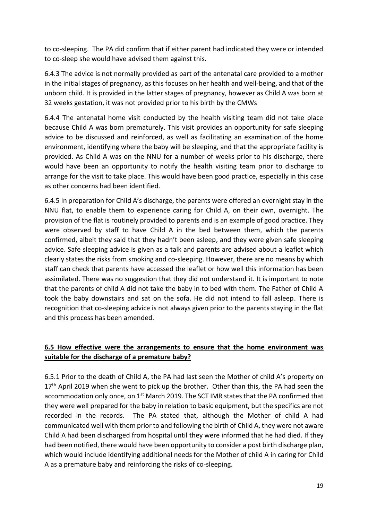to co-sleeping. The PA did confirm that if either parent had indicated they were or intended to co-sleep she would have advised them against this.

6.4.3 The advice is not normally provided as part of the antenatal care provided to a mother in the initial stages of pregnancy, as this focuses on her health and well-being, and that of the unborn child. It is provided in the latter stages of pregnancy, however as Child A was born at 32 weeks gestation, it was not provided prior to his birth by the CMWs

6.4.4 The antenatal home visit conducted by the health visiting team did not take place because Child A was born prematurely. This visit provides an opportunity for safe sleeping advice to be discussed and reinforced, as well as facilitating an examination of the home environment, identifying where the baby will be sleeping, and that the appropriate facility is provided. As Child A was on the NNU for a number of weeks prior to his discharge, there would have been an opportunity to notify the health visiting team prior to discharge to arrange for the visit to take place. This would have been good practice, especially in this case as other concerns had been identified.

6.4.5 In preparation for Child A's discharge, the parents were offered an overnight stay in the NNU flat, to enable them to experience caring for Child A, on their own, overnight. The provision of the flat is routinely provided to parents and is an example of good practice. They were observed by staff to have Child A in the bed between them, which the parents confirmed, albeit they said that they hadn't been asleep, and they were given safe sleeping advice. Safe sleeping advice is given as a talk and parents are advised about a leaflet which clearly states the risks from smoking and co-sleeping. However, there are no means by which staff can check that parents have accessed the leaflet or how well this information has been assimilated. There was no suggestion that they did not understand it. It is important to note that the parents of child A did not take the baby in to bed with them. The Father of Child A took the baby downstairs and sat on the sofa. He did not intend to fall asleep. There is recognition that co-sleeping advice is not always given prior to the parents staying in the flat and this process has been amended.

## **6.5 How effective were the arrangements to ensure that the home environment was suitable for the discharge of a premature baby?**

6.5.1 Prior to the death of Child A, the PA had last seen the Mother of child A's property on  $17<sup>th</sup>$  April 2019 when she went to pick up the brother. Other than this, the PA had seen the accommodation only once, on 1<sup>st</sup> March 2019. The SCT IMR states that the PA confirmed that they were well prepared for the baby in relation to basic equipment, but the specifics are not recorded in the records. The PA stated that, although the Mother of child A had communicated well with them prior to and following the birth of Child A, they were not aware Child A had been discharged from hospital until they were informed that he had died. If they had been notified, there would have been opportunity to consider a post birth discharge plan, which would include identifying additional needs for the Mother of child A in caring for Child A as a premature baby and reinforcing the risks of co-sleeping.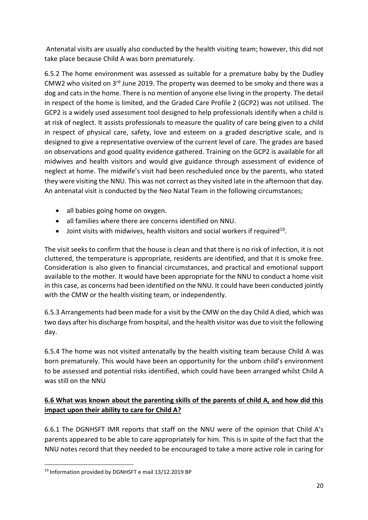Antenatal visits are usually also conducted by the health visiting team; however, this did not take place because Child A was born prematurely.

6.5.2 The home environment was assessed as suitable for a premature baby by the Dudley CMW2 who visited on 3rd June 2019. The property was deemed to be smoky and there was a dog and cats in the home. There is no mention of anyone else living in the property. The detail in respect of the home is limited, and the Graded Care Profile 2 (GCP2) was not utilised. The GCP2 is a widely used assessment tool designed to help professionals identify when a child is at risk of neglect. It assists professionals to measure the quality of care being given to a child in respect of physical care, safety, love and esteem on a graded descriptive scale, and is designed to give a representative overview of the current level of care. The grades are based on observations and good quality evidence gathered. Training on the GCP2 is available for all midwives and health visitors and would give guidance through assessment of evidence of neglect at home. The midwife's visit had been rescheduled once by the parents, who stated they were visiting the NNU. This was not correct as they visited late in the afternoon that day. An antenatal visit is conducted by the Neo Natal Team in the following circumstances;

- all babies going home on oxygen.
- all families where there are concerns identified on NNU.
- $\bullet$  Joint visits with midwives, health visitors and social workers if required<sup>19</sup>.

The visit seeks to confirm that the house is clean and that there is no risk of infection, it is not cluttered, the temperature is appropriate, residents are identified, and that it is smoke free. Consideration is also given to financial circumstances, and practical and emotional support available to the mother. It would have been appropriate for the NNU to conduct a home visit in this case, as concerns had been identified on the NNU. It could have been conducted jointly with the CMW or the health visiting team, or independently.

6.5.3 Arrangements had been made for a visit by the CMW on the day Child A died, which was two days after his discharge from hospital, and the health visitor was due to visit the following day.

6.5.4 The home was not visited antenatally by the health visiting team because Child A was born prematurely. This would have been an opportunity for the unborn child's environment to be assessed and potential risks identified, which could have been arranged whilst Child A was still on the NNU

## **6.6 What was known about the parenting skills of the parents of child A, and how did this impact upon their ability to care for Child A?**

6.6.1 The DGNHSFT IMR reports that staff on the NNU were of the opinion that Child A's parents appeared to be able to care appropriately for him. This is in spite of the fact that the NNU notes record that they needed to be encouraged to take a more active role in caring for

<sup>19</sup> Information provided by DGNHSFT e mail 13/12.2019 BP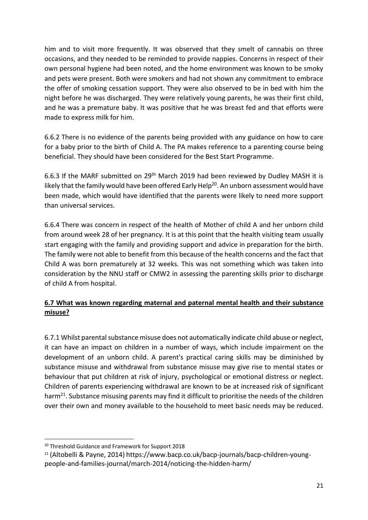him and to visit more frequently. It was observed that they smelt of cannabis on three occasions, and they needed to be reminded to provide nappies. Concerns in respect of their own personal hygiene had been noted, and the home environment was known to be smoky and pets were present. Both were smokers and had not shown any commitment to embrace the offer of smoking cessation support. They were also observed to be in bed with him the night before he was discharged. They were relatively young parents, he was their first child, and he was a premature baby. It was positive that he was breast fed and that efforts were made to express milk for him.

6.6.2 There is no evidence of the parents being provided with any guidance on how to care for a baby prior to the birth of Child A. The PA makes reference to a parenting course being beneficial. They should have been considered for the Best Start Programme.

6.6.3 If the MARF submitted on 29th March 2019 had been reviewed by Dudley MASH it is likely that the family would have been offered Early Help<sup>20</sup>. An unborn assessment would have been made, which would have identified that the parents were likely to need more support than universal services.

6.6.4 There was concern in respect of the health of Mother of child A and her unborn child from around week 28 of her pregnancy. It is at this point that the health visiting team usually start engaging with the family and providing support and advice in preparation for the birth. The family were not able to benefit from this because of the health concerns and the fact that Child A was born prematurely at 32 weeks. This was not something which was taken into consideration by the NNU staff or CMW2 in assessing the parenting skills prior to discharge of child A from hospital.

## **6.7 What was known regarding maternal and paternal mental health and their substance misuse?**

6.7.1 Whilst parental substance misuse does not automatically indicate child abuse or neglect, it can have an impact on children in a number of ways, which include impairment on the development of an unborn child. A parent's practical caring skills may be diminished by substance misuse and withdrawal from substance misuse may give rise to mental states or behaviour that put children at risk of injury, psychological or emotional distress or neglect. Children of parents experiencing withdrawal are known to be at increased risk of significant harm<sup>21</sup>. Substance misusing parents may find it difficult to prioritise the needs of the children over their own and money available to the household to meet basic needs may be reduced.

<sup>20</sup> Threshold Guidance and Framework for Support 2018

<sup>21</sup> (Altobelli & Payne, 2014) https://www.bacp.co.uk/bacp-journals/bacp-children-youngpeople-and-families-journal/march-2014/noticing-the-hidden-harm/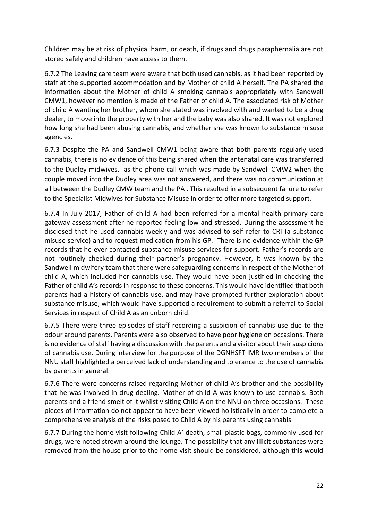Children may be at risk of physical harm, or death, if drugs and drugs paraphernalia are not stored safely and children have access to them.

6.7.2 The Leaving care team were aware that both used cannabis, as it had been reported by staff at the supported accommodation and by Mother of child A herself. The PA shared the information about the Mother of child A smoking cannabis appropriately with Sandwell CMW1, however no mention is made of the Father of child A. The associated risk of Mother of child A wanting her brother, whom she stated was involved with and wanted to be a drug dealer, to move into the property with her and the baby was also shared. It was not explored how long she had been abusing cannabis, and whether she was known to substance misuse agencies.

6.7.3 Despite the PA and Sandwell CMW1 being aware that both parents regularly used cannabis, there is no evidence of this being shared when the antenatal care was transferred to the Dudley midwives, as the phone call which was made by Sandwell CMW2 when the couple moved into the Dudley area was not answered, and there was no communication at all between the Dudley CMW team and the PA . This resulted in a subsequent failure to refer to the Specialist Midwives for Substance Misuse in order to offer more targeted support.

6.7.4 In July 2017, Father of child A had been referred for a mental health primary care gateway assessment after he reported feeling low and stressed. During the assessment he disclosed that he used cannabis weekly and was advised to self-refer to CRI (a substance misuse service) and to request medication from his GP. There is no evidence within the GP records that he ever contacted substance misuse services for support. Father's records are not routinely checked during their partner's pregnancy. However, it was known by the Sandwell midwifery team that there were safeguarding concerns in respect of the Mother of child A, which included her cannabis use. They would have been justified in checking the Father of child A's records in response to these concerns. This would have identified that both parents had a history of cannabis use, and may have prompted further exploration about substance misuse, which would have supported a requirement to submit a referral to Social Services in respect of Child A as an unborn child.

6.7.5 There were three episodes of staff recording a suspicion of cannabis use due to the odour around parents. Parents were also observed to have poor hygiene on occasions. There is no evidence of staff having a discussion with the parents and a visitor about their suspicions of cannabis use. During interview for the purpose of the DGNHSFT IMR two members of the NNU staff highlighted a perceived lack of understanding and tolerance to the use of cannabis by parents in general.

6.7.6 There were concerns raised regarding Mother of child A's brother and the possibility that he was involved in drug dealing. Mother of child A was known to use cannabis. Both parents and a friend smelt of it whilst visiting Child A on the NNU on three occasions. These pieces of information do not appear to have been viewed holistically in order to complete a comprehensive analysis of the risks posed to Child A by his parents using cannabis

6.7.7 During the home visit following Child A' death, small plastic bags, commonly used for drugs, were noted strewn around the lounge. The possibility that any illicit substances were removed from the house prior to the home visit should be considered, although this would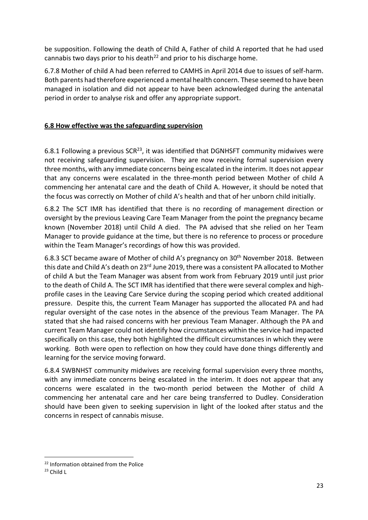be supposition. Following the death of Child A, Father of child A reported that he had used cannabis two days prior to his death<sup>22</sup> and prior to his discharge home.

6.7.8 Mother of child A had been referred to CAMHS in April 2014 due to issues of self-harm. Both parents had therefore experienced a mental health concern. These seemed to have been managed in isolation and did not appear to have been acknowledged during the antenatal period in order to analyse risk and offer any appropriate support.

## **6.8 How effective was the safeguarding supervision**

6.8.1 Following a previous  $SCR^{23}$ , it was identified that DGNHSFT community midwives were not receiving safeguarding supervision. They are now receiving formal supervision every three months, with any immediate concerns being escalated in the interim. It does not appear that any concerns were escalated in the three-month period between Mother of child A commencing her antenatal care and the death of Child A. However, it should be noted that the focus was correctly on Mother of child A's health and that of her unborn child initially.

6.8.2 The SCT IMR has identified that there is no recording of management direction or oversight by the previous Leaving Care Team Manager from the point the pregnancy became known (November 2018) until Child A died. The PA advised that she relied on her Team Manager to provide guidance at the time, but there is no reference to process or procedure within the Team Manager's recordings of how this was provided.

6.8.3 SCT became aware of Mother of child A's pregnancy on 30th November 2018. Between this date and Child A's death on 23<sup>rd</sup> June 2019, there was a consistent PA allocated to Mother of child A but the Team Manager was absent from work from February 2019 until just prior to the death of Child A. The SCT IMR has identified that there were several complex and highprofile cases in the Leaving Care Service during the scoping period which created additional pressure. Despite this, the current Team Manager has supported the allocated PA and had regular oversight of the case notes in the absence of the previous Team Manager. The PA stated that she had raised concerns with her previous Team Manager. Although the PA and current Team Manager could not identify how circumstances within the service had impacted specifically on this case, they both highlighted the difficult circumstances in which they were working. Both were open to reflection on how they could have done things differently and learning for the service moving forward.

6.8.4 SWBNHST community midwives are receiving formal supervision every three months, with any immediate concerns being escalated in the interim. It does not appear that any concerns were escalated in the two-month period between the Mother of child A commencing her antenatal care and her care being transferred to Dudley. Consideration should have been given to seeking supervision in light of the looked after status and the concerns in respect of cannabis misuse.

<sup>22</sup> Information obtained from the Police

 $23$  Child L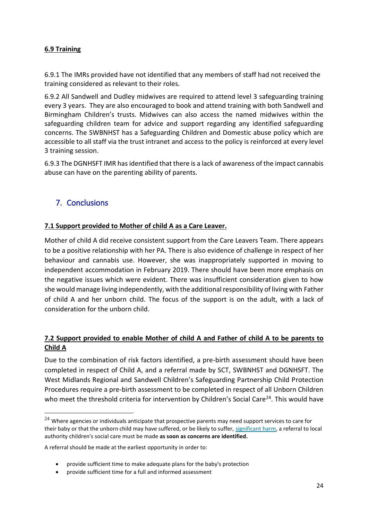## **6.9 Training**

6.9.1 The IMRs provided have not identified that any members of staff had not received the training considered as relevant to their roles.

6.9.2 All Sandwell and Dudley midwives are required to attend level 3 safeguarding training every 3 years. They are also encouraged to book and attend training with both Sandwell and Birmingham Children's trusts. Midwives can also access the named midwives within the safeguarding children team for advice and support regarding any identified safeguarding concerns. The SWBNHST has a Safeguarding Children and Domestic abuse policy which are accessible to all staff via the trust intranet and access to the policy is reinforced at every level 3 training session.

6.9.3 The DGNHSFT IMR has identified that there is a lack of awareness of the impact cannabis abuse can have on the parenting ability of parents.

# 7. Conclusions

## **7.1 Support provided to Mother of child A as a Care Leaver.**

Mother of child A did receive consistent support from the Care Leavers Team. There appears to be a positive relationship with her PA. There is also evidence of challenge in respect of her behaviour and cannabis use. However, she was inappropriately supported in moving to independent accommodation in February 2019. There should have been more emphasis on the negative issues which were evident. There was insufficient consideration given to how she would manage living independently, with the additional responsibility of living with Father of child A and her unborn child. The focus of the support is on the adult, with a lack of consideration for the unborn child.

## **7.2 Support provided to enable Mother of child A and Father of child A to be parents to Child A**

Due to the combination of risk factors identified, a pre-birth assessment should have been completed in respect of Child A, and a referral made by SCT, SWBNHST and DGNHSFT. The West Midlands Regional and Sandwell Children's Safeguarding Partnership Child Protection Procedures require a pre-birth assessment to be completed in respect of all Unborn Children who meet the threshold criteria for intervention by Children's Social Care<sup>24</sup>. This would have

 $24$  Where agencies or individuals anticipate that prospective parents may need support services to care for their baby or that the unborn child may have suffered, or be likely to suffer, [significant harm,](https://westmidlands.procedures.org.uk/page/glossary?term=Significant+harm&g=3YjN#gl1) a referral to local authority children's social care must be made **as soon as concerns are identified.** 

A referral should be made at the earliest opportunity in order to:

<sup>•</sup> provide sufficient time to make adequate plans for the baby's protection

<sup>•</sup> provide sufficient time for a full and informed assessment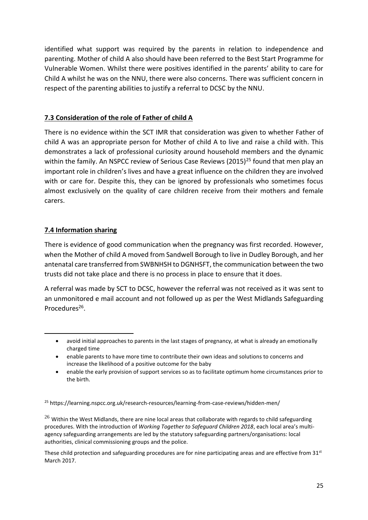identified what support was required by the parents in relation to independence and parenting. Mother of child A also should have been referred to the Best Start Programme for Vulnerable Women. Whilst there were positives identified in the parents' ability to care for Child A whilst he was on the NNU, there were also concerns. There was sufficient concern in respect of the parenting abilities to justify a referral to DCSC by the NNU.

## **7.3 Consideration of the role of Father of child A**

There is no evidence within the SCT IMR that consideration was given to whether Father of child A was an appropriate person for Mother of child A to live and raise a child with. This demonstrates a lack of professional curiosity around household members and the dynamic within the family. An NSPCC review of Serious Case Reviews (2015)<sup>25</sup> found that men play an important role in children's lives and have a great influence on the children they are involved with or care for. Despite this, they can be ignored by professionals who sometimes focus almost exclusively on the quality of care children receive from their mothers and female carers.

## **7.4 Information sharing**

There is evidence of good communication when the pregnancy was first recorded. However, when the Mother of child A moved from Sandwell Borough to live in Dudley Borough, and her antenatal care transferred from SWBNHSH to DGNHSFT, the communication between the two trusts did not take place and there is no process in place to ensure that it does.

A referral was made by SCT to DCSC, however the referral was not received as it was sent to an unmonitored e mail account and not followed up as per the West Midlands Safeguarding Procedures<sup>26</sup>.

 $^{26}$  Within the West Midlands, there are nine local areas that collaborate with regards to child safeguarding procedures. With the introduction of *Working Together to Safeguard Children 2018*, each local area's multiagency safeguarding arrangements are led by the statutory safeguarding partners/organisations: local authorities, clinical commissioning groups and the police.

These child protection and safeguarding procedures are for nine participating areas and are effective from  $31<sup>st</sup>$ March 2017.

<sup>•</sup> avoid initial approaches to parents in the last stages of pregnancy, at what is already an emotionally charged time

<sup>•</sup> enable parents to have more time to contribute their own ideas and solutions to concerns and increase the likelihood of a positive outcome for the baby

<sup>•</sup> enable the early provision of support services so as to facilitate optimum home circumstances prior to the birth.

<sup>25</sup> https://learning.nspcc.org.uk/research-resources/learning-from-case-reviews/hidden-men/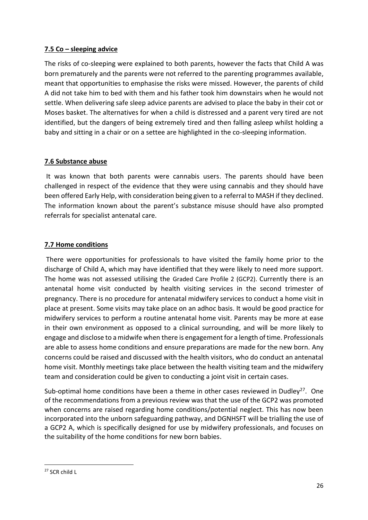## **7.5 Co – sleeping advice**

The risks of co-sleeping were explained to both parents, however the facts that Child A was born prematurely and the parents were not referred to the parenting programmes available, meant that opportunities to emphasise the risks were missed. However, the parents of child A did not take him to bed with them and his father took him downstairs when he would not settle. When delivering safe sleep advice parents are advised to place the baby in their cot or Moses basket. The alternatives for when a child is distressed and a parent very tired are not identified, but the dangers of being extremely tired and then falling asleep whilst holding a baby and sitting in a chair or on a settee are highlighted in the co-sleeping information.

## **7.6 Substance abuse**

It was known that both parents were cannabis users. The parents should have been challenged in respect of the evidence that they were using cannabis and they should have been offered Early Help, with consideration being given to a referral to MASH if they declined. The information known about the parent's substance misuse should have also prompted referrals for specialist antenatal care.

## **7.7 Home conditions**

There were opportunities for professionals to have visited the family home prior to the discharge of Child A, which may have identified that they were likely to need more support. The home was not assessed utilising the Graded Care Profile 2 (GCP2). Currently there is an antenatal home visit conducted by health visiting services in the second trimester of pregnancy. There is no procedure for antenatal midwifery services to conduct a home visit in place at present. Some visits may take place on an adhoc basis. It would be good practice for midwifery services to perform a routine antenatal home visit. Parents may be more at ease in their own environment as opposed to a clinical surrounding, and will be more likely to engage and disclose to a midwife when there is engagement for a length of time. Professionals are able to assess home conditions and ensure preparations are made for the new born. Any concerns could be raised and discussed with the health visitors, who do conduct an antenatal home visit. Monthly meetings take place between the health visiting team and the midwifery team and consideration could be given to conducting a joint visit in certain cases.

Sub-optimal home conditions have been a theme in other cases reviewed in Dudley<sup>27</sup>. One of the recommendations from a previous review was that the use of the GCP2 was promoted when concerns are raised regarding home conditions/potential neglect. This has now been incorporated into the unborn safeguarding pathway, and DGNHSFT will be trialling the use of a GCP2 A, which is specifically designed for use by midwifery professionals, and focuses on the suitability of the home conditions for new born babies.

 $27$  SCR child L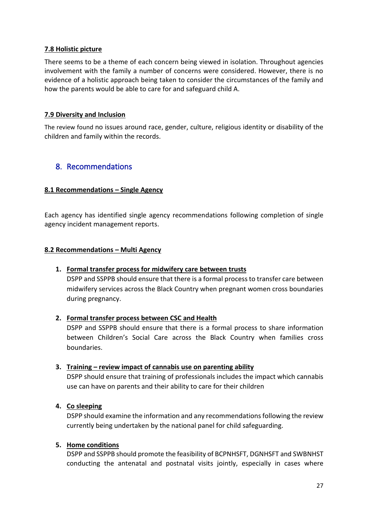## **7.8 Holistic picture**

There seems to be a theme of each concern being viewed in isolation. Throughout agencies involvement with the family a number of concerns were considered. However, there is no evidence of a holistic approach being taken to consider the circumstances of the family and how the parents would be able to care for and safeguard child A.

#### **7.9 Diversity and Inclusion**

The review found no issues around race, gender, culture, religious identity or disability of the children and family within the records.

## 8. Recommendations

#### **8.1 Recommendations – Single Agency**

Each agency has identified single agency recommendations following completion of single agency incident management reports.

#### **8.2 Recommendations – Multi Agency**

## **1. Formal transfer process for midwifery care between trusts**

DSPP and SSPPB should ensure that there is a formal process to transfer care between midwifery services across the Black Country when pregnant women cross boundaries during pregnancy.

#### **2. Formal transfer process between CSC and Health**

DSPP and SSPPB should ensure that there is a formal process to share information between Children's Social Care across the Black Country when families cross boundaries.

## **3. Training – review impact of cannabis use on parenting ability**

DSPP should ensure that training of professionals includes the impact which cannabis use can have on parents and their ability to care for their children

## **4. Co sleeping**

DSPP should examine the information and any recommendations following the review currently being undertaken by the national panel for child safeguarding.

#### **5. Home conditions**

DSPP and SSPPB should promote the feasibility of BCPNHSFT, DGNHSFT and SWBNHST conducting the antenatal and postnatal visits jointly, especially in cases where